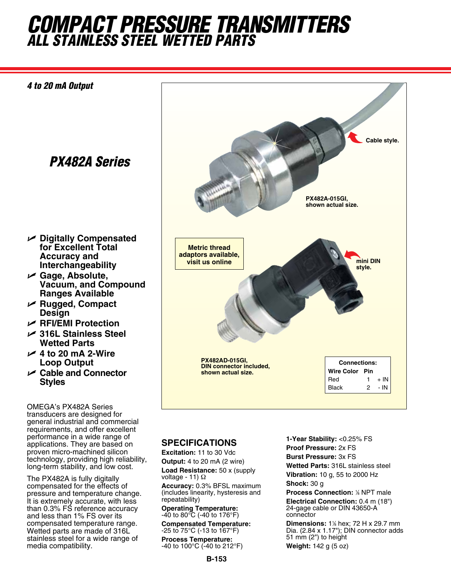## *COMPACT Pressure TransMITTERS ALL Stainless Steel Wetted Parts*



## **SPECIFICATIONS**

performance in a wide range of applications. They are based on proven micro-machined silicon technology, providing high reliability, long-term stability, and low cost. The PX482A is fully digitally compensated for the effects of pressure and temperature change. It is extremely accurate, with less than 0.3% FS reference accuracy and less than 1% FS over its compensated temperature range. Wetted parts are made of 316L stainless steel for a wide range of

media compatibility.

**Excitation:** 11 to 30 Vdc **Output:** 4 to 20 mA (2 wire) **Load Resistance:** 50 x (supply voltage - 11) Ω **Accuracy:** 0.3% BFSL maximum (includes linearity, hysteresis and repeatability) **Operating Temperature:**

-40 to 80°C (-40 to 176°F) **Compensated Temperature:** -25 to 75°C (-13 to 167°F)

**Process Temperature:** -40 to 100°C (-40 to 212°F)

**1-Year Stability:** <0.25% FS **Proof Pressure:** 2x FS **Burst Pressure:** 3x FS **Wetted Parts:** 316L stainless steel **Vibration:** 10 g, 55 to 2000 Hz **Shock:** 30 g

**Process Connection: % NPT male Electrical Connection:** 0.4 m (18") 24-gage cable or DIN 43650-A connector

**Dimensions:** 1% hex; 72 H x 29.7 mm Dia. (2.84 x 1.17"); DIN connector adds 51 mm (2") to height

**Weight:** 142 g (5 oz)